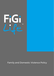

Family and Domestic Violence Policy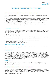

# FAMILY AND DOMESTIC VIOLENCE POLICY

## SUPPORTING CUSTOMERS EXPERIENCING FAMILY AND DOMESTIC VIOLENCE

This policy is applicable to all Future Insurance Group International Pty Ltd (FiGi Life) customers affected by Family / Domestic Violence.

- FiGi Life recognises that Family / Domestic Violence is not acceptable in any relationship and our customers who may be experiencing Family / Domestic Violence will be treated with dignity and respect;
- Our customers who advise they are experiencing Family / Domestic Violence are able to access support from FiGi Life that is appropriate to their circumstances;
- Any disclosure made to any relevant third party will be made with great care, keeping in mind the sensitivity and confidentiality of our customers situation; and
- We may need to be flexible and adjust our approach based on the individual circumstances and needs, including providing personalised support to enable us to assist customers navigate our processes.

## WE ARE HERE TO SUPPORT YOU

Where you may disclose Family / Domestic Violence, or where we have reason to believe that Family / Domestic Violence is occurring, we will handle this information with sensitivity and will consider on an individual basis the measures to support you such as:

- Prioritising the sensitivity of your situation;
- Ensuring the confidentiality of information;
- Minimising the number of time that you need to disclose information relating to your situation by having dedicated employees trained to assist customers experiencing Family / Domestic Violence;
- Manage the way we communicate with you to ensure that we do not add any further risk;
- Providing financial hardship assistance depending on the individual circumstances;
- Stopping or deferring collections activities;
- Providing referrals to support agencies wherever needed.

## OUR EMPLOYEES ARE TRAINED TO HELP YOU

All our customer-facing employees are trained to help you and understand customers experiencing Family / Domestic Violence relevant to their roles.

## **CONFIDENTIALITY**

We understand the risks of disclosing information in relation to customers experiencing Family / Domestic Violence. The protection of your personal and other confidential information – such as your physical address and telephone number – is critical to your safety in these situations. In addition to our Customer Privacy Policy, we will discuss safe ways to communicate with you and record these. We will protect your sensitive information and, where possible, give you control over how your personal information is shared with third parties. We will inform you about what information you need to share with other policyholders, such as information about a claim, so you can make appropriate arrangements.

## CLAIMS HANDLING

We will support you throughout the claims process on an individual case by case basis. This support may include fast-tracking the claim, providing emergency payments or accommodation and/or reviewing decisions where there is ambiguity about cover.

#### IF YOU'RE HAVING TROUBLE PAYING YOUR INSURANCE PREMIUM

We know that Family / Domestic Violence may cause circumstances that have an impact on your financial wellbeing, including the ability to meet payments. If you have identified that you are being affected by Family / Domestic Violence, or where our trained employee has reason to believe Family / Domestic Violence is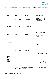

occurring, we may offer financial hardship assistance, including offering deferred payments for premiums or waiving excesses.

# SUPPORT IF YOU HAVE OUTSTANDING DEBT

| Agency                                                          | Phone         | Website            | <b>Services Provided</b>                                                                                                                                                                     |
|-----------------------------------------------------------------|---------------|--------------------|----------------------------------------------------------------------------------------------------------------------------------------------------------------------------------------------|
| 1800<br><b>RESPECT</b>                                          | 1800 737 732  | 1800respect.org.au | National 24-Hour Family /<br>Domestic Violence and<br>Sexual Assault Line                                                                                                                    |
| <b>MENSLINE</b>                                                 | 1300 78 99 78 | mensline.org.au    | 24/7 support, information<br>and<br>referral service for men with<br>family and relationship<br>issues                                                                                       |
| Lifeline                                                        | 13 11 14      | lifeline.org.au    | 24/7 counselling & referral<br>service<br>for people in a crisis<br>situation                                                                                                                |
| <b>Beyond Blue</b>                                              | 1300 224 636  | beyondblue.org.au  | 24/7 support to people<br>experiencing anxiety or<br>depression                                                                                                                              |
| National<br>Debt Hotline                                        | 1800 007 007  | ndh.org.au         | Financial counselling is a<br>free,<br>confidential service to assist<br>people in financial difficulty                                                                                      |
| National<br>Association<br>of<br>Community<br>Legal<br>Centre's |               | naclc.org.au       | An independent not-for-<br>profit community<br>organisation that provides<br>legal and related services to<br>the public, focusing on the<br>disadvantaged and people<br>with special needs. |

Support from your bank

Your bank may be able to help provide relief for your mortgage payments or provide other forms of relief.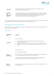

| Utility Bills   | If you're finding it tough to pay your bills give your utility company a call<br>because they may be able to assist. |
|-----------------|----------------------------------------------------------------------------------------------------------------------|
| Translation     | The Translating and Interpreting Service (TIS National) is an interpreting service                                   |
| and             | provided by the Department of Immigration and Border Protection for people                                           |
| Interpreting    | who do not speak English and for agencies and businesses that need to                                                |
| <b>Services</b> | communicate with their non-English speaking clients.                                                                 |

If you are experiencing Family / Domestic Violence and there is a debt for unpaid premium, excess or a thirdparty recovery, please talk to us so we can see if we can help with this process.

## OTHER SERVICES THAT MAY HELP (AUSTRALIA)

Always call 000 if you or your family members are in immediate danger. There are some services that may help, we have listed them below:

## DEFINITIONS:

| Abbreviation<br>/ Term           | Definition                                                                                                                                                                                                                                                                                                                                   |  |
|----------------------------------|----------------------------------------------------------------------------------------------------------------------------------------------------------------------------------------------------------------------------------------------------------------------------------------------------------------------------------------------|--|
| Customers                        | Are person(s) that:<br>have applied for (including obtaining a quote for) a Retail Insurance<br>$\bullet$<br>product sold by FiGi Life;<br>have been issued with a Retail Insurance product that is sold by FiGi Life; or<br>$\bullet$<br>are Relevant Third Parties to a Retail Insurance product that is sold by FiGi<br>$\bullet$<br>Life |  |
|                                  | Are person(s) that:                                                                                                                                                                                                                                                                                                                          |  |
|                                  | (a) Third Party Beneficiaries;                                                                                                                                                                                                                                                                                                               |  |
| Relevant<br><b>Third Parties</b> | (b) a third party not of the type listed in a) who is an insurer recovering money<br>from under a Retail Insurance product sold by FiGi Life; or                                                                                                                                                                                             |  |
|                                  | (c) a third party not of the type listed in a) who are seeking damages from<br>customers of a Retail Insurance product sold by FiGi Life;                                                                                                                                                                                                    |  |
|                                  |                                                                                                                                                                                                                                                                                                                                              |  |
| Retail<br>Insurance              | Retail insurance is given the same definition as Part 16 of the General Insurance<br>Code of Practice.                                                                                                                                                                                                                                       |  |